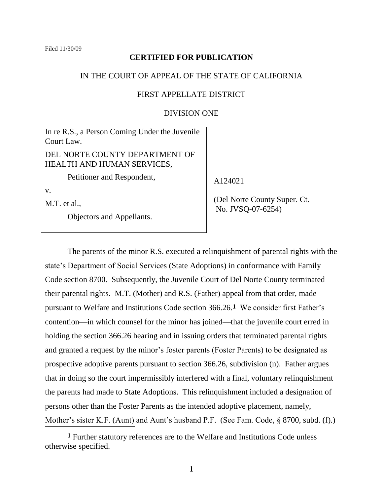### **CERTIFIED FOR PUBLICATION**

### IN THE COURT OF APPEAL OF THE STATE OF CALIFORNIA

# FIRST APPELLATE DISTRICT

## DIVISION ONE

In re R.S., a Person Coming Under the Juvenile Court Law.

# DEL NORTE COUNTY DEPARTMENT OF HEALTH AND HUMAN SERVICES,

Petitioner and Respondent,

v.

M.T. et al.,

Objectors and Appellants.

A124021

 (Del Norte County Super. Ct. No. JVSQ-07-6254)

The parents of the minor R.S. executed a relinquishment of parental rights with the state"s Department of Social Services (State Adoptions) in conformance with Family Code section 8700. Subsequently, the Juvenile Court of Del Norte County terminated their parental rights. M.T. (Mother) and R.S. (Father) appeal from that order, made pursuant to Welfare and Institutions Code section 366.26.**1** We consider first Father"s contention—in which counsel for the minor has joined—that the juvenile court erred in holding the section 366.26 hearing and in issuing orders that terminated parental rights and granted a request by the minor's foster parents (Foster Parents) to be designated as prospective adoptive parents pursuant to section 366.26, subdivision (n). Father argues that in doing so the court impermissibly interfered with a final, voluntary relinquishment the parents had made to State Adoptions. This relinquishment included a designation of persons other than the Foster Parents as the intended adoptive placement, namely, Mother's sister K.F. (Aunt) and Aunt's husband P.F. (See Fam. Code, § 8700, subd. (f).)  $\overline{a}$ 

**<sup>1</sup>** Further statutory references are to the Welfare and Institutions Code unless otherwise specified.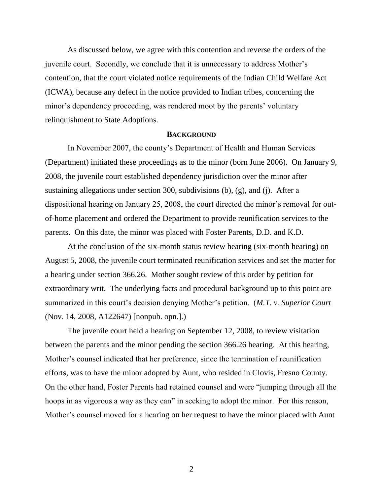As discussed below, we agree with this contention and reverse the orders of the juvenile court. Secondly, we conclude that it is unnecessary to address Mother"s contention, that the court violated notice requirements of the Indian Child Welfare Act (ICWA), because any defect in the notice provided to Indian tribes, concerning the minor's dependency proceeding, was rendered moot by the parents' voluntary relinquishment to State Adoptions.

### **BACKGROUND**

In November 2007, the county"s Department of Health and Human Services (Department) initiated these proceedings as to the minor (born June 2006). On January 9, 2008, the juvenile court established dependency jurisdiction over the minor after sustaining allegations under section 300, subdivisions (b), (g), and (j). After a dispositional hearing on January 25, 2008, the court directed the minor's removal for outof-home placement and ordered the Department to provide reunification services to the parents. On this date, the minor was placed with Foster Parents, D.D. and K.D.

At the conclusion of the six-month status review hearing (six-month hearing) on August 5, 2008, the juvenile court terminated reunification services and set the matter for a hearing under section 366.26. Mother sought review of this order by petition for extraordinary writ. The underlying facts and procedural background up to this point are summarized in this court's decision denying Mother's petition. (*M.T. v. Superior Court* (Nov. 14, 2008, A122647) [nonpub. opn.].)

The juvenile court held a hearing on September 12, 2008, to review visitation between the parents and the minor pending the section 366.26 hearing. At this hearing, Mother's counsel indicated that her preference, since the termination of reunification efforts, was to have the minor adopted by Aunt, who resided in Clovis, Fresno County. On the other hand, Foster Parents had retained counsel and were "jumping through all the hoops in as vigorous a way as they can" in seeking to adopt the minor. For this reason, Mother's counsel moved for a hearing on her request to have the minor placed with Aunt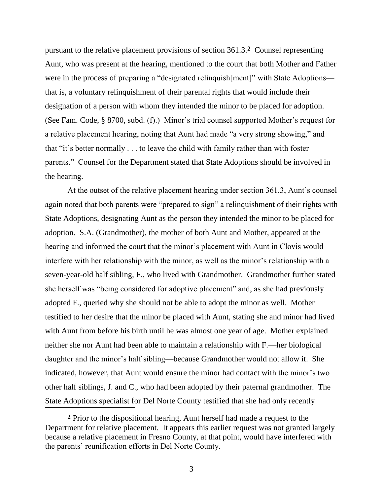pursuant to the relative placement provisions of section 361.3.**2** Counsel representing Aunt, who was present at the hearing, mentioned to the court that both Mother and Father were in the process of preparing a "designated relinquish [ment]" with State Adoptions that is, a voluntary relinquishment of their parental rights that would include their designation of a person with whom they intended the minor to be placed for adoption. (See Fam. Code, § 8700, subd. (f).) Minor"s trial counsel supported Mother"s request for a relative placement hearing, noting that Aunt had made "a very strong showing," and that "it"s better normally . . . to leave the child with family rather than with foster parents." Counsel for the Department stated that State Adoptions should be involved in the hearing.

At the outset of the relative placement hearing under section 361.3, Aunt's counsel again noted that both parents were "prepared to sign" a relinquishment of their rights with State Adoptions, designating Aunt as the person they intended the minor to be placed for adoption. S.A. (Grandmother), the mother of both Aunt and Mother, appeared at the hearing and informed the court that the minor's placement with Aunt in Clovis would interfere with her relationship with the minor, as well as the minor"s relationship with a seven-year-old half sibling, F., who lived with Grandmother. Grandmother further stated she herself was "being considered for adoptive placement" and, as she had previously adopted F., queried why she should not be able to adopt the minor as well. Mother testified to her desire that the minor be placed with Aunt, stating she and minor had lived with Aunt from before his birth until he was almost one year of age. Mother explained neither she nor Aunt had been able to maintain a relationship with F.—her biological daughter and the minor"s half sibling—because Grandmother would not allow it. She indicated, however, that Aunt would ensure the minor had contact with the minor"s two other half siblings, J. and C., who had been adopted by their paternal grandmother. The State Adoptions specialist for Del Norte County testified that she had only recently  $\overline{\phantom{a}}$ 

**<sup>2</sup>** Prior to the dispositional hearing, Aunt herself had made a request to the Department for relative placement. It appears this earlier request was not granted largely because a relative placement in Fresno County, at that point, would have interfered with the parents" reunification efforts in Del Norte County.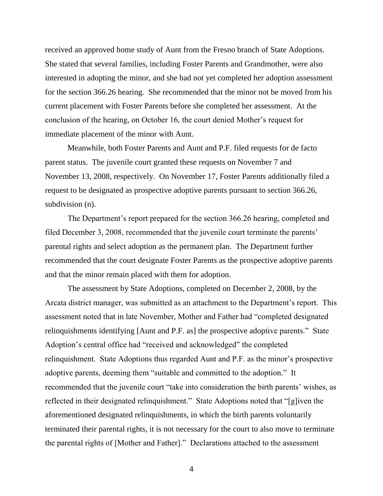received an approved home study of Aunt from the Fresno branch of State Adoptions. She stated that several families, including Foster Parents and Grandmother, were also interested in adopting the minor, and she had not yet completed her adoption assessment for the section 366.26 hearing. She recommended that the minor not be moved from his current placement with Foster Parents before she completed her assessment. At the conclusion of the hearing, on October 16, the court denied Mother"s request for immediate placement of the minor with Aunt.

Meanwhile, both Foster Parents and Aunt and P.F. filed requests for de facto parent status. The juvenile court granted these requests on November 7 and November 13, 2008, respectively. On November 17, Foster Parents additionally filed a request to be designated as prospective adoptive parents pursuant to section 366.26, subdivision (n).

The Department's report prepared for the section 366.26 hearing, completed and filed December 3, 2008, recommended that the juvenile court terminate the parents' parental rights and select adoption as the permanent plan. The Department further recommended that the court designate Foster Parents as the prospective adoptive parents and that the minor remain placed with them for adoption.

The assessment by State Adoptions, completed on December 2, 2008, by the Arcata district manager, was submitted as an attachment to the Department's report. This assessment noted that in late November, Mother and Father had "completed designated relinquishments identifying [Aunt and P.F. as] the prospective adoptive parents." State Adoption"s central office had "received and acknowledged" the completed relinquishment. State Adoptions thus regarded Aunt and P.F. as the minor"s prospective adoptive parents, deeming them "suitable and committed to the adoption." It recommended that the juvenile court "take into consideration the birth parents' wishes, as reflected in their designated relinquishment." State Adoptions noted that "[g]iven the aforementioned designated relinquishments, in which the birth parents voluntarily terminated their parental rights, it is not necessary for the court to also move to terminate the parental rights of [Mother and Father]." Declarations attached to the assessment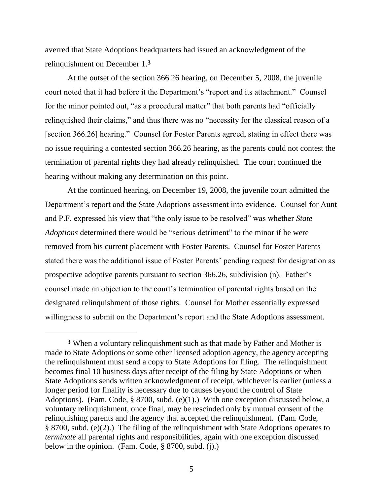averred that State Adoptions headquarters had issued an acknowledgment of the relinquishment on December 1.**3**

At the outset of the section 366.26 hearing, on December 5, 2008, the juvenile court noted that it had before it the Department's "report and its attachment." Counsel for the minor pointed out, "as a procedural matter" that both parents had "officially relinquished their claims," and thus there was no "necessity for the classical reason of a [section 366.26] hearing." Counsel for Foster Parents agreed, stating in effect there was no issue requiring a contested section 366.26 hearing, as the parents could not contest the termination of parental rights they had already relinquished. The court continued the hearing without making any determination on this point.

At the continued hearing, on December 19, 2008, the juvenile court admitted the Department"s report and the State Adoptions assessment into evidence. Counsel for Aunt and P.F. expressed his view that "the only issue to be resolved" was whether *State Adoptions* determined there would be "serious detriment" to the minor if he were removed from his current placement with Foster Parents. Counsel for Foster Parents stated there was the additional issue of Foster Parents' pending request for designation as prospective adoptive parents pursuant to section 366.26, subdivision (n). Father"s counsel made an objection to the court"s termination of parental rights based on the designated relinquishment of those rights. Counsel for Mother essentially expressed willingness to submit on the Department's report and the State Adoptions assessment.

 $\overline{a}$ 

**<sup>3</sup>** When a voluntary relinquishment such as that made by Father and Mother is made to State Adoptions or some other licensed adoption agency, the agency accepting the relinquishment must send a copy to State Adoptions for filing. The relinquishment becomes final 10 business days after receipt of the filing by State Adoptions or when State Adoptions sends written acknowledgment of receipt, whichever is earlier (unless a longer period for finality is necessary due to causes beyond the control of State Adoptions). (Fam. Code, § 8700, subd. (e)(1).) With one exception discussed below, a voluntary relinquishment, once final, may be rescinded only by mutual consent of the relinquishing parents and the agency that accepted the relinquishment. (Fam. Code, § 8700, subd. (e)(2).) The filing of the relinquishment with State Adoptions operates to *terminate* all parental rights and responsibilities, again with one exception discussed below in the opinion. (Fam. Code, § 8700, subd. (j).)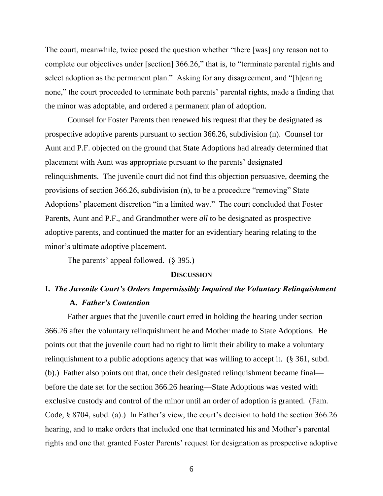The court, meanwhile, twice posed the question whether "there [was] any reason not to complete our objectives under [section] 366.26," that is, to "terminate parental rights and select adoption as the permanent plan." Asking for any disagreement, and "[h]earing none," the court proceeded to terminate both parents' parental rights, made a finding that the minor was adoptable, and ordered a permanent plan of adoption.

Counsel for Foster Parents then renewed his request that they be designated as prospective adoptive parents pursuant to section 366.26, subdivision (n). Counsel for Aunt and P.F. objected on the ground that State Adoptions had already determined that placement with Aunt was appropriate pursuant to the parents" designated relinquishments. The juvenile court did not find this objection persuasive, deeming the provisions of section 366.26, subdivision (n), to be a procedure "removing" State Adoptions" placement discretion "in a limited way." The court concluded that Foster Parents, Aunt and P.F., and Grandmother were *all* to be designated as prospective adoptive parents, and continued the matter for an evidentiary hearing relating to the minor's ultimate adoptive placement.

The parents' appeal followed. (§ 395.)

### **DISCUSSION**

# **I.** *The Juvenile Court's Orders Impermissibly Impaired the Voluntary Relinquishment* **A.** *Father's Contention*

Father argues that the juvenile court erred in holding the hearing under section 366.26 after the voluntary relinquishment he and Mother made to State Adoptions. He points out that the juvenile court had no right to limit their ability to make a voluntary relinquishment to a public adoptions agency that was willing to accept it. (§ 361, subd. (b).) Father also points out that, once their designated relinquishment became final before the date set for the section 366.26 hearing—State Adoptions was vested with exclusive custody and control of the minor until an order of adoption is granted. (Fam. Code, § 8704, subd. (a).) In Father's view, the court's decision to hold the section 366.26 hearing, and to make orders that included one that terminated his and Mother"s parental rights and one that granted Foster Parents' request for designation as prospective adoptive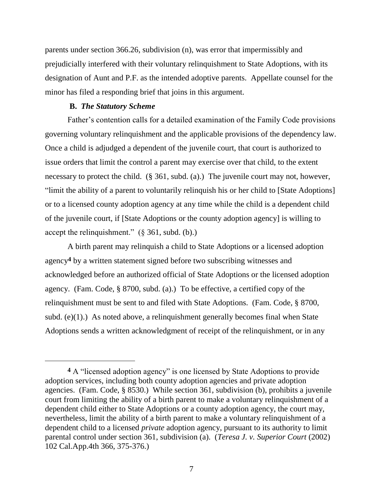parents under section 366.26, subdivision (n), was error that impermissibly and prejudicially interfered with their voluntary relinquishment to State Adoptions, with its designation of Aunt and P.F. as the intended adoptive parents. Appellate counsel for the minor has filed a responding brief that joins in this argument.

### **B.** *The Statutory Scheme*

Father's contention calls for a detailed examination of the Family Code provisions governing voluntary relinquishment and the applicable provisions of the dependency law. Once a child is adjudged a dependent of the juvenile court, that court is authorized to issue orders that limit the control a parent may exercise over that child, to the extent necessary to protect the child. (§ 361, subd. (a).) The juvenile court may not, however, "limit the ability of a parent to voluntarily relinquish his or her child to [State Adoptions] or to a licensed county adoption agency at any time while the child is a dependent child of the juvenile court, if [State Adoptions or the county adoption agency] is willing to accept the relinquishment."  $(\S 361, \text{subd. (b)})$ 

A birth parent may relinquish a child to State Adoptions or a licensed adoption agency**4** by a written statement signed before two subscribing witnesses and acknowledged before an authorized official of State Adoptions or the licensed adoption agency. (Fam. Code, § 8700, subd. (a).) To be effective, a certified copy of the relinquishment must be sent to and filed with State Adoptions. (Fam. Code, § 8700, subd. (e) $(1)$ .) As noted above, a relinquishment generally becomes final when State Adoptions sends a written acknowledgment of receipt of the relinquishment, or in any

**<sup>4</sup>** A "licensed adoption agency" is one licensed by State Adoptions to provide adoption services, including both county adoption agencies and private adoption agencies. (Fam. Code, § 8530.) While section 361, subdivision (b), prohibits a juvenile court from limiting the ability of a birth parent to make a voluntary relinquishment of a dependent child either to State Adoptions or a county adoption agency, the court may, nevertheless, limit the ability of a birth parent to make a voluntary relinquishment of a dependent child to a licensed *private* adoption agency, pursuant to its authority to limit parental control under section 361, subdivision (a). (*Teresa J. v. Superior Court* (2002) 102 Cal.App.4th 366, 375-376.)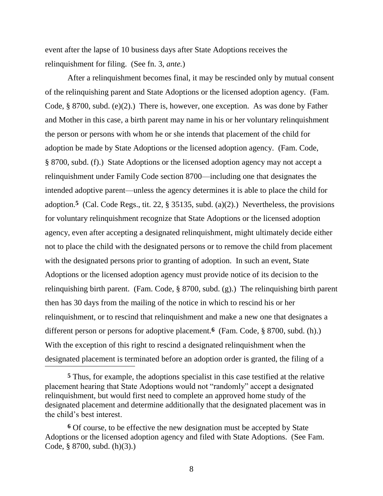event after the lapse of 10 business days after State Adoptions receives the relinquishment for filing. (See fn. 3, *ante.*)

After a relinquishment becomes final, it may be rescinded only by mutual consent of the relinquishing parent and State Adoptions or the licensed adoption agency. (Fam. Code, § 8700, subd. (e)(2).) There is, however, one exception. As was done by Father and Mother in this case, a birth parent may name in his or her voluntary relinquishment the person or persons with whom he or she intends that placement of the child for adoption be made by State Adoptions or the licensed adoption agency. (Fam. Code, § 8700, subd. (f).) State Adoptions or the licensed adoption agency may not accept a relinquishment under Family Code section 8700—including one that designates the intended adoptive parent—unless the agency determines it is able to place the child for adoption.**5** (Cal. Code Regs., tit. 22, § 35135, subd. (a)(2).) Nevertheless, the provisions for voluntary relinquishment recognize that State Adoptions or the licensed adoption agency, even after accepting a designated relinquishment, might ultimately decide either not to place the child with the designated persons or to remove the child from placement with the designated persons prior to granting of adoption. In such an event, State Adoptions or the licensed adoption agency must provide notice of its decision to the relinquishing birth parent. (Fam. Code, § 8700, subd. (g).) The relinquishing birth parent then has 30 days from the mailing of the notice in which to rescind his or her relinquishment, or to rescind that relinquishment and make a new one that designates a different person or persons for adoptive placement.**6** (Fam. Code, § 8700, subd. (h).) With the exception of this right to rescind a designated relinquishment when the designated placement is terminated before an adoption order is granted, the filing of a l

**<sup>5</sup>** Thus, for example, the adoptions specialist in this case testified at the relative placement hearing that State Adoptions would not "randomly" accept a designated relinquishment, but would first need to complete an approved home study of the designated placement and determine additionally that the designated placement was in the child"s best interest.

**<sup>6</sup>** Of course, to be effective the new designation must be accepted by State Adoptions or the licensed adoption agency and filed with State Adoptions. (See Fam. Code, § 8700, subd. (h)(3).)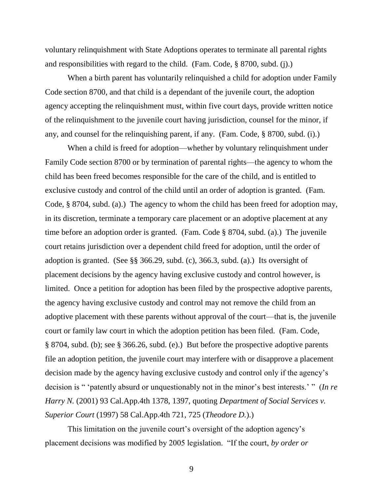voluntary relinquishment with State Adoptions operates to terminate all parental rights and responsibilities with regard to the child. (Fam. Code, § 8700, subd. (j).)

When a birth parent has voluntarily relinquished a child for adoption under Family Code section 8700, and that child is a dependant of the juvenile court, the adoption agency accepting the relinquishment must, within five court days, provide written notice of the relinquishment to the juvenile court having jurisdiction, counsel for the minor, if any, and counsel for the relinquishing parent, if any. (Fam. Code, § 8700, subd. (i).)

When a child is freed for adoption—whether by voluntary relinquishment under Family Code section 8700 or by termination of parental rights—the agency to whom the child has been freed becomes responsible for the care of the child, and is entitled to exclusive custody and control of the child until an order of adoption is granted. (Fam. Code, § 8704, subd. (a).) The agency to whom the child has been freed for adoption may, in its discretion, terminate a temporary care placement or an adoptive placement at any time before an adoption order is granted. (Fam. Code § 8704, subd. (a).) The juvenile court retains jurisdiction over a dependent child freed for adoption, until the order of adoption is granted. (See §§ 366.29, subd. (c), 366.3, subd. (a).) Its oversight of placement decisions by the agency having exclusive custody and control however, is limited. Once a petition for adoption has been filed by the prospective adoptive parents, the agency having exclusive custody and control may not remove the child from an adoptive placement with these parents without approval of the court—that is, the juvenile court or family law court in which the adoption petition has been filed. (Fam. Code, § 8704, subd. (b); see § 366.26, subd. (e).) But before the prospective adoptive parents file an adoption petition, the juvenile court may interfere with or disapprove a placement decision made by the agency having exclusive custody and control only if the agency"s decision is " "patently absurd or unquestionably not in the minor"s best interests." " (*In re Harry N.* (2001) 93 Cal.App.4th 1378, 1397, quoting *Department of Social Services v. Superior Court* (1997) 58 Cal.App.4th 721, 725 (*Theodore D.*).)

This limitation on the juvenile court's oversight of the adoption agency's placement decisions was modified by 2005 legislation. "If the court, *by order or*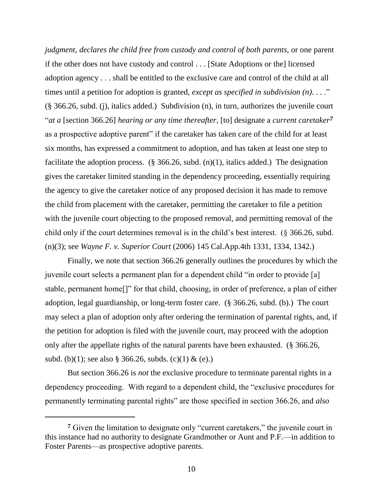*judgment, declares the child free from custody and control of both parents, or one parent* if the other does not have custody and control . . . [State Adoptions or the] licensed adoption agency . . . shall be entitled to the exclusive care and control of the child at all times until a petition for adoption is granted, *except as specified in subdivision (n)*. . . ." (§ 366.26, subd. (j), italics added.) Subdivision (n), in turn, authorizes the juvenile court "*at a* [section 366.26] *hearing or any time thereafter*, [to] designate a *current caretaker7* as a prospective adoptive parent" if the caretaker has taken care of the child for at least six months, has expressed a commitment to adoption, and has taken at least one step to facilitate the adoption process.  $(\S$  366.26, subd. (n)(1), italics added.) The designation gives the caretaker limited standing in the dependency proceeding, essentially requiring the agency to give the caretaker notice of any proposed decision it has made to remove the child from placement with the caretaker, permitting the caretaker to file a petition with the juvenile court objecting to the proposed removal, and permitting removal of the child only if the court determines removal is in the child"s best interest. (§ 366.26, subd. (n)(3); see *Wayne F. v. Superior Court* (2006) 145 Cal.App.4th 1331, 1334, 1342.)

Finally, we note that section 366.26 generally outlines the procedures by which the juvenile court selects a permanent plan for a dependent child "in order to provide [a] stable, permanent home[]" for that child, choosing, in order of preference, a plan of either adoption, legal guardianship, or long-term foster care. (§ 366.26, subd. (b).) The court may select a plan of adoption only after ordering the termination of parental rights, and, if the petition for adoption is filed with the juvenile court, may proceed with the adoption only after the appellate rights of the natural parents have been exhausted. (§ 366.26, subd. (b)(1); see also § 366.26, subds. (c)(1) & (e).)

But section 366.26 is *not* the exclusive procedure to terminate parental rights in a dependency proceeding. With regard to a dependent child, the "exclusive procedures for permanently terminating parental rights" are those specified in section 366.26, and *also* 

**<sup>7</sup>** Given the limitation to designate only "current caretakers," the juvenile court in this instance had no authority to designate Grandmother or Aunt and P.F.—in addition to Foster Parents—as prospective adoptive parents.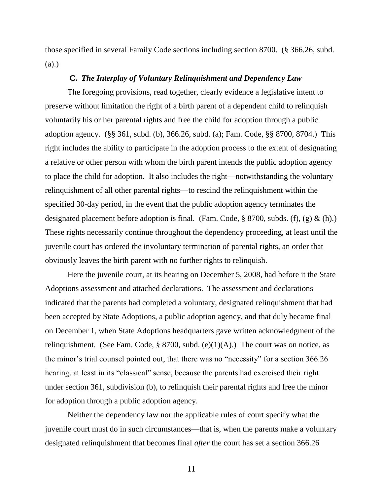those specified in several Family Code sections including section 8700. (§ 366.26, subd. (a).)

### **C.** *The Interplay of Voluntary Relinquishment and Dependency Law*

The foregoing provisions, read together, clearly evidence a legislative intent to preserve without limitation the right of a birth parent of a dependent child to relinquish voluntarily his or her parental rights and free the child for adoption through a public adoption agency. (§§ 361, subd. (b), 366.26, subd. (a); Fam. Code, §§ 8700, 8704.) This right includes the ability to participate in the adoption process to the extent of designating a relative or other person with whom the birth parent intends the public adoption agency to place the child for adoption. It also includes the right—notwithstanding the voluntary relinquishment of all other parental rights—to rescind the relinquishment within the specified 30-day period, in the event that the public adoption agency terminates the designated placement before adoption is final. (Fam. Code,  $\S$  8700, subds. (f), (g) & (h).) These rights necessarily continue throughout the dependency proceeding, at least until the juvenile court has ordered the involuntary termination of parental rights, an order that obviously leaves the birth parent with no further rights to relinquish.

Here the juvenile court, at its hearing on December 5, 2008, had before it the State Adoptions assessment and attached declarations. The assessment and declarations indicated that the parents had completed a voluntary, designated relinquishment that had been accepted by State Adoptions, a public adoption agency, and that duly became final on December 1, when State Adoptions headquarters gave written acknowledgment of the relinquishment. (See Fam. Code, § 8700, subd. (e)(1)(A).) The court was on notice, as the minor"s trial counsel pointed out, that there was no "necessity" for a section 366.26 hearing, at least in its "classical" sense, because the parents had exercised their right under section 361, subdivision (b), to relinquish their parental rights and free the minor for adoption through a public adoption agency.

Neither the dependency law nor the applicable rules of court specify what the juvenile court must do in such circumstances—that is, when the parents make a voluntary designated relinquishment that becomes final *after* the court has set a section 366.26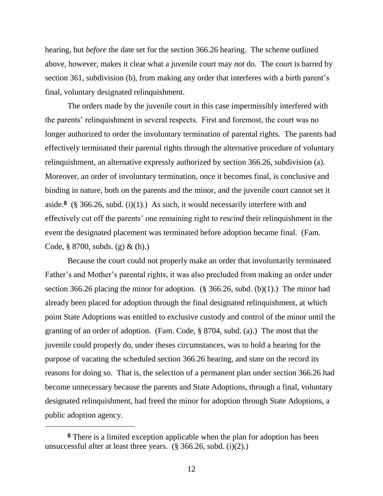hearing, but *before* the date set for the section 366.26 hearing. The scheme outlined above, however, makes it clear what a juvenile court may *not* do. The court is barred by section 361, subdivision (b), from making any order that interferes with a birth parent's final, voluntary designated relinquishment.

The orders made by the juvenile court in this case impermissibly interfered with the parents' relinquishment in several respects. First and foremost, the court was no longer authorized to order the involuntary termination of parental rights. The parents had effectively terminated their parental rights through the alternative procedure of voluntary relinquishment, an alternative expressly authorized by section 366.26, subdivision (a). Moreover, an order of involuntary termination, once it becomes final, is conclusive and binding in nature, both on the parents and the minor, and the juvenile court cannot set it aside.<sup>8</sup> (§ 366.26, subd. (i)(1).) As such, it would necessarily interfere with and effectively cut off the parents" one remaining right to *rescind* their relinquishment in the event the designated placement was terminated before adoption became final. (Fam. Code,  $\S 8700$ , subds. (g) & (h).)

Because the court could not properly make an order that involuntarily terminated Father's and Mother's parental rights, it was also precluded from making an order under section 366.26 placing the minor for adoption. (§ 366.26, subd. (b)(1).) The minor had already been placed for adoption through the final designated relinquishment, at which point State Adoptions was entitled to exclusive custody and control of the minor until the granting of an order of adoption. (Fam. Code, § 8704, subd. (a).) The most that the juvenile could properly do, under theses circumstances, was to hold a hearing for the purpose of vacating the scheduled section 366.26 hearing, and state on the record its reasons for doing so. That is, the selection of a permanent plan under section 366.26 had become unnecessary because the parents and State Adoptions, through a final, voluntary designated relinquishment, had freed the minor for adoption through State Adoptions, a public adoption agency.

**<sup>8</sup>** There is a limited exception applicable when the plan for adoption has been unsuccessful after at least three years. (§ 366.26, subd. (i)(2).)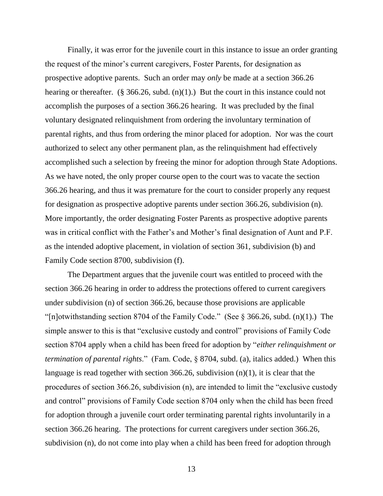Finally, it was error for the juvenile court in this instance to issue an order granting the request of the minor"s current caregivers, Foster Parents, for designation as prospective adoptive parents. Such an order may *only* be made at a section 366.26 hearing or thereafter. (§ 366.26, subd.  $(n)(1)$ .) But the court in this instance could not accomplish the purposes of a section 366.26 hearing. It was precluded by the final voluntary designated relinquishment from ordering the involuntary termination of parental rights, and thus from ordering the minor placed for adoption. Nor was the court authorized to select any other permanent plan, as the relinquishment had effectively accomplished such a selection by freeing the minor for adoption through State Adoptions. As we have noted, the only proper course open to the court was to vacate the section 366.26 hearing, and thus it was premature for the court to consider properly any request for designation as prospective adoptive parents under section 366.26, subdivision (n). More importantly, the order designating Foster Parents as prospective adoptive parents was in critical conflict with the Father's and Mother's final designation of Aunt and P.F. as the intended adoptive placement, in violation of section 361, subdivision (b) and Family Code section 8700, subdivision (f).

The Department argues that the juvenile court was entitled to proceed with the section 366.26 hearing in order to address the protections offered to current caregivers under subdivision (n) of section 366.26, because those provisions are applicable "[n]otwithstanding section 8704 of the Family Code." (See  $\S 366.26$ , subd. (n)(1).) The simple answer to this is that "exclusive custody and control" provisions of Family Code section 8704 apply when a child has been freed for adoption by "*either relinquishment or termination of parental rights*." (Fam. Code, § 8704, subd. (a), italics added.) When this language is read together with section 366.26, subdivision (n)(1), it is clear that the procedures of section 366.26, subdivision (n), are intended to limit the "exclusive custody and control" provisions of Family Code section 8704 only when the child has been freed for adoption through a juvenile court order terminating parental rights involuntarily in a section 366.26 hearing. The protections for current caregivers under section 366.26, subdivision (n), do not come into play when a child has been freed for adoption through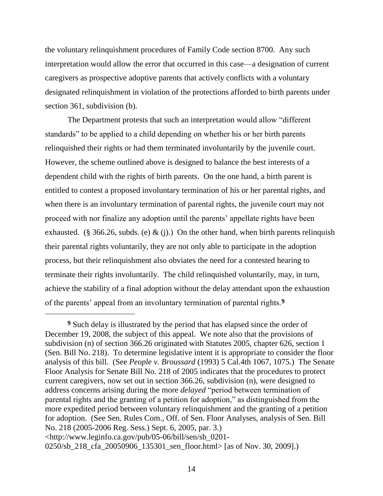the voluntary relinquishment procedures of Family Code section 8700. Any such interpretation would allow the error that occurred in this case—a designation of current caregivers as prospective adoptive parents that actively conflicts with a voluntary designated relinquishment in violation of the protections afforded to birth parents under section 361, subdivision (b).

The Department protests that such an interpretation would allow "different standards" to be applied to a child depending on whether his or her birth parents relinquished their rights or had them terminated involuntarily by the juvenile court. However, the scheme outlined above is designed to balance the best interests of a dependent child with the rights of birth parents. On the one hand, a birth parent is entitled to contest a proposed involuntary termination of his or her parental rights, and when there is an involuntary termination of parental rights, the juvenile court may not proceed with nor finalize any adoption until the parents" appellate rights have been exhausted. (§ 366.26, subds. (e) & (j).) On the other hand, when birth parents relinquish their parental rights voluntarily, they are not only able to participate in the adoption process, but their relinquishment also obviates the need for a contested hearing to terminate their rights involuntarily. The child relinquished voluntarily, may, in turn, achieve the stability of a final adoption without the delay attendant upon the exhaustion of the parents" appeal from an involuntary termination of parental rights.**9**

 $\overline{a}$ 

**<sup>9</sup>** Such delay is illustrated by the period that has elapsed since the order of December 19, 2008, the subject of this appeal. We note also that the provisions of subdivision (n) of section 366.26 originated with Statutes 2005, chapter 626, section 1 (Sen. Bill No. 218). To determine legislative intent it is appropriate to consider the floor analysis of this bill. (See *People v. Broussard* (1993) 5 Cal.4th 1067, 1075.) The Senate Floor Analysis for Senate Bill No. 218 of 2005 indicates that the procedures to protect current caregivers, now set out in section 366.26, subdivision (n), were designed to address concerns arising during the more *delayed* "period between termination of parental rights and the granting of a petition for adoption," as distinguished from the more expedited period between voluntary relinquishment and the granting of a petition for adoption. (See Sen. Rules Com., Off. of Sen. Floor Analyses, analysis of Sen. Bill No. 218 (2005-2006 Reg. Sess.) Sept. 6, 2005, par. 3.) <http://www.leginfo.ca.gov/pub/05-06/bill/sen/sb\_0201-

<sup>0250/</sup>sb 218 cfa 20050906 135301 sen floor.html> [as of Nov. 30, 2009].)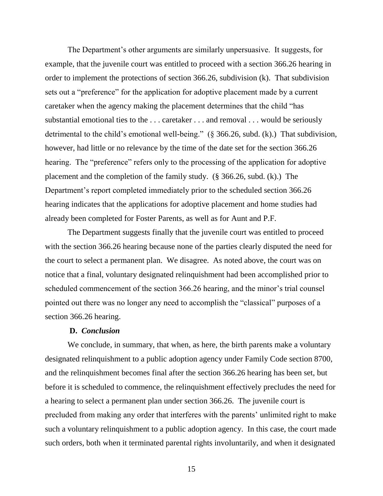The Department's other arguments are similarly unpersuasive. It suggests, for example, that the juvenile court was entitled to proceed with a section 366.26 hearing in order to implement the protections of section 366.26, subdivision (k). That subdivision sets out a "preference" for the application for adoptive placement made by a current caretaker when the agency making the placement determines that the child "has substantial emotional ties to the . . . caretaker . . . and removal . . . would be seriously detrimental to the child's emotional well-being." (§ 366.26, subd. (k).) That subdivision, however, had little or no relevance by the time of the date set for the section 366.26 hearing. The "preference" refers only to the processing of the application for adoptive placement and the completion of the family study. (§ 366.26, subd. (k).) The Department's report completed immediately prior to the scheduled section 366.26 hearing indicates that the applications for adoptive placement and home studies had already been completed for Foster Parents, as well as for Aunt and P.F.

The Department suggests finally that the juvenile court was entitled to proceed with the section 366.26 hearing because none of the parties clearly disputed the need for the court to select a permanent plan. We disagree. As noted above, the court was on notice that a final, voluntary designated relinquishment had been accomplished prior to scheduled commencement of the section 366.26 hearing, and the minor's trial counsel pointed out there was no longer any need to accomplish the "classical" purposes of a section 366.26 hearing.

## **D.** *Conclusion*

We conclude, in summary, that when, as here, the birth parents make a voluntary designated relinquishment to a public adoption agency under Family Code section 8700, and the relinquishment becomes final after the section 366.26 hearing has been set, but before it is scheduled to commence, the relinquishment effectively precludes the need for a hearing to select a permanent plan under section 366.26. The juvenile court is precluded from making any order that interferes with the parents' unlimited right to make such a voluntary relinquishment to a public adoption agency. In this case, the court made such orders, both when it terminated parental rights involuntarily, and when it designated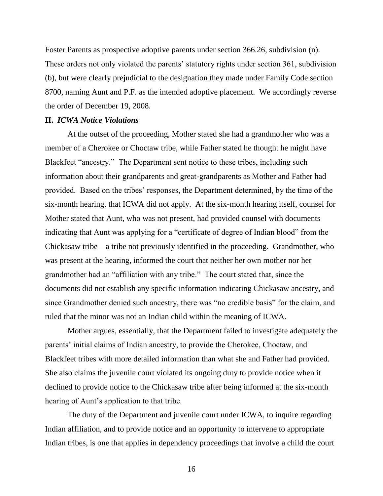Foster Parents as prospective adoptive parents under section 366.26, subdivision (n). These orders not only violated the parents' statutory rights under section 361, subdivision (b), but were clearly prejudicial to the designation they made under Family Code section 8700, naming Aunt and P.F. as the intended adoptive placement. We accordingly reverse the order of December 19, 2008.

### **II.** *ICWA Notice Violations*

At the outset of the proceeding, Mother stated she had a grandmother who was a member of a Cherokee or Choctaw tribe, while Father stated he thought he might have Blackfeet "ancestry." The Department sent notice to these tribes, including such information about their grandparents and great-grandparents as Mother and Father had provided. Based on the tribes' responses, the Department determined, by the time of the six-month hearing, that ICWA did not apply. At the six-month hearing itself, counsel for Mother stated that Aunt, who was not present, had provided counsel with documents indicating that Aunt was applying for a "certificate of degree of Indian blood" from the Chickasaw tribe—a tribe not previously identified in the proceeding. Grandmother, who was present at the hearing, informed the court that neither her own mother nor her grandmother had an "affiliation with any tribe." The court stated that, since the documents did not establish any specific information indicating Chickasaw ancestry, and since Grandmother denied such ancestry, there was "no credible basis" for the claim, and ruled that the minor was not an Indian child within the meaning of ICWA.

Mother argues, essentially, that the Department failed to investigate adequately the parents' initial claims of Indian ancestry, to provide the Cherokee, Choctaw, and Blackfeet tribes with more detailed information than what she and Father had provided. She also claims the juvenile court violated its ongoing duty to provide notice when it declined to provide notice to the Chickasaw tribe after being informed at the six-month hearing of Aunt's application to that tribe.

The duty of the Department and juvenile court under ICWA, to inquire regarding Indian affiliation, and to provide notice and an opportunity to intervene to appropriate Indian tribes, is one that applies in dependency proceedings that involve a child the court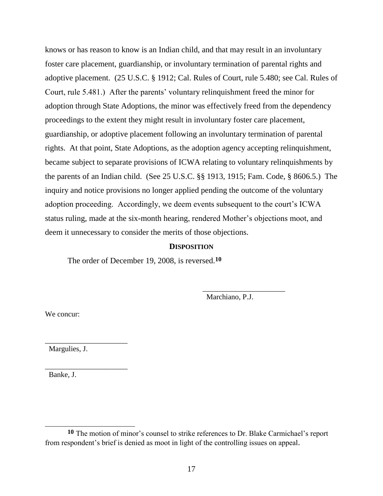knows or has reason to know is an Indian child, and that may result in an involuntary foster care placement, guardianship, or involuntary termination of parental rights and adoptive placement. (25 U.S.C. § 1912; Cal. Rules of Court, rule 5.480; see Cal. Rules of Court, rule 5.481.) After the parents" voluntary relinquishment freed the minor for adoption through State Adoptions, the minor was effectively freed from the dependency proceedings to the extent they might result in involuntary foster care placement, guardianship, or adoptive placement following an involuntary termination of parental rights. At that point, State Adoptions, as the adoption agency accepting relinquishment, became subject to separate provisions of ICWA relating to voluntary relinquishments by the parents of an Indian child. (See 25 U.S.C. §§ 1913, 1915; Fam. Code, § 8606.5.) The inquiry and notice provisions no longer applied pending the outcome of the voluntary adoption proceeding. Accordingly, we deem events subsequent to the court's ICWA status ruling, made at the six-month hearing, rendered Mother"s objections moot, and deem it unnecessary to consider the merits of those objections.

## **DISPOSITION**

The order of December 19, 2008, is reversed.**10**

Marchiano, P.J.

\_\_\_\_\_\_\_\_\_\_\_\_\_\_\_\_\_\_\_\_\_\_

We concur:

Margulies, J.

\_\_\_\_\_\_\_\_\_\_\_\_\_\_\_\_\_\_\_\_\_\_

\_\_\_\_\_\_\_\_\_\_\_\_\_\_\_\_\_\_\_\_\_\_

Banke, J.

 **10** The motion of minor"s counsel to strike references to Dr. Blake Carmichael"s report from respondent"s brief is denied as moot in light of the controlling issues on appeal.